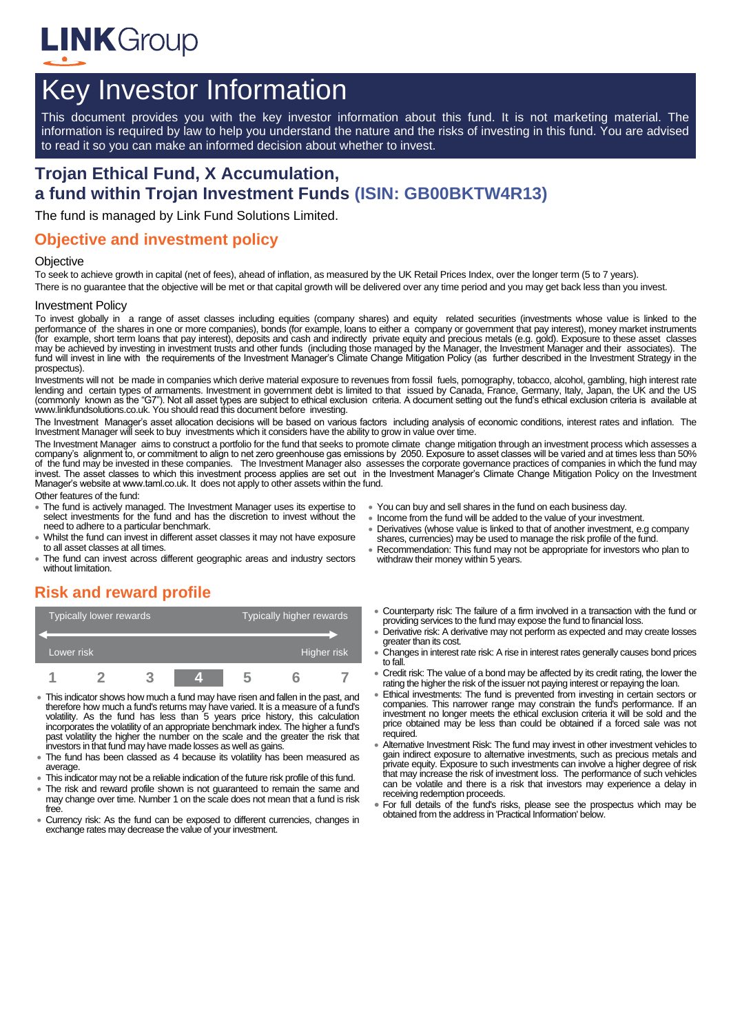

# Key Investor Information

This document provides you with the key investor information about this fund. It is not marketing material. The information is required by law to help you understand the nature and the risks of investing in this fund. You are advised to read it so you can make an informed decision about whether to invest.

# **Trojan Ethical Fund, X Accumulation, a fund within Trojan Investment Funds (ISIN: GB00BKTW4R13)**

The fund is managed by Link Fund Solutions Limited.

#### **Objective and investment policy**

#### **Objective**

To seek to achieve growth in capital (net of fees), ahead of inflation, as measured by the UK Retail Prices Index, over the longer term (5 to 7 years).

There is no guarantee that the objective will be met or that capital growth will be delivered over any time period and you may get back less than you invest.

#### Investment Policy

To invest globally in a range of asset classes including equities (company shares) and equity related securities (investments whose value is linked to the performance of the shares in one or more companies), bonds (for example, loans to either a company or government that pay interest), money market instruments (for example, short term loans that pay interest), deposits and cash and indirectly private equity and precious metals (e.g. gold). Exposure to these asset classes may be achieved by investing in investment trusts and other funds (including those managed by the Manager, the Investment Manager and their associates). The fund will invest in line with the requirements of the Investment Manager's Climate Change Mitigation Policy (as further described in the Investment Strategy in the prospectus).

Investments will not be made in companies which derive material exposure to revenues from fossil fuels, pornography, tobacco, alcohol, gambling, high interest rate<br>Iending and certain types of armaments. Investment in gove (commonly known as the "G7"). Not all asset types are subject to ethical exclusion criteria. A document setting out the fund's ethical exclusion criteria is available at www.linkfundsolutions.co.uk. You should read this document before investing.

The Investment Manager's asset allocation decisions will be based on various factors including analysis of economic conditions, interest rates and inflation. The Investment Manager will seek to buy investments which it considers have the ability to grow in value over time.

The Investment Manager aims to construct a portfolio for the fund that seeks to promote climate change mitigation through an investment process which assesses a company's alignment to, or commitment to align to net zero greenhouse gas emissions by 2050. Exposure to asset classes will be varied and at times less than 50% of the fund may be invested in these companies. The Investment Manager also assesses the corporate governance practices of companies in which the fund may invest. The asset classes to which this investment process applies are set out in the Investment Manager's Climate Change Mitigation Policy on the Investment Manager's website at www.taml.co.uk. It does not apply to other assets within the fund.

Other features of the fund:

- The fund is actively managed. The Investment Manager uses its expertise to select investments for the fund and has the discretion to invest without the need to adhere to a particular benchmark.
- Whilst the fund can invest in different asset classes it may not have exposure to all asset classes at all times.
- The fund can invest across different geographic areas and industry sectors without limitation.
- You can buy and sell shares in the fund on each business day.
- Income from the fund will be added to the value of your investment.
- Derivatives (whose value is linked to that of another investment, e.g company shares, currencies) may be used to manage the risk profile of the fund.
- Recommendation: This fund may not be appropriate for investors who plan to withdraw their money within 5 years.

## **Risk and reward profile**

|            | <b>Typically lower rewards</b> |  | Typically higher rewards |  |  |  |
|------------|--------------------------------|--|--------------------------|--|--|--|
| Lower risk |                                |  | Higher risk              |  |  |  |
|            |                                |  |                          |  |  |  |

- This indicator shows how much a fund may have risen and fallen in the past, and therefore how much a fund's returns may have varied. It is a measure of a fund's volatility. As the fund has less than 5 years price history, this calculation incorporates the volatility of an appropriate benchmark index. The higher a fund's past volatility the higher the number on the scale and the greater the risk that investors in that fund may have made losses as well as gains.
- The fund has been classed as 4 because its volatility has been measured as average.
- This indicator may not be a reliable indication of the future risk profile of this fund.
- The risk and reward profile shown is not guaranteed to remain the same and may change over time. Number 1 on the scale does not mean that a fund is risk free.
- Currency risk: As the fund can be exposed to different currencies, changes in exchange rates may decrease the value of your investment.
- Counterparty risk: The failure of a firm involved in a transaction with the fund or providing services to the fund may expose the fund to financial loss.
- Derivative risk: A derivative may not perform as expected and may create losses greater than its cost.
- Changes in interest rate risk: A rise in interest rates generally causes bond prices to fall.
- Credit risk: The value of a bond may be affected by its credit rating, the lower the rating the higher the risk of the issuer not paying interest or repaying the loan.
- Ethical investments: The fund is prevented from investing in certain sectors or companies. This narrower range may constrain the fund's performance. If an investment no longer meets the ethical exclusion criteria it will be sold and the price obtained may be less than could be obtained if a forced sale was not required.
- Alternative Investment Risk: The fund may invest in other investment vehicles to gain indirect exposure to alternative investments, such as precious metals and private equity. Exposure to such investments can involve a higher degree of risk that may increase the risk of investment loss. The performance of such vehicles can be volatile and there is a risk that investors may experience a delay in receiving redemption proceeds.
- For full details of the fund's risks, please see the prospectus which may be obtained from the address in 'Practical Information' below.